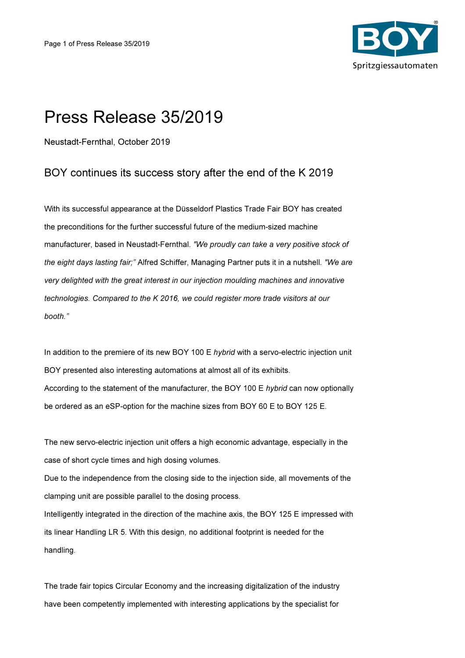

## Press Release 35/2019

Neustadt-Fernthal, October 2019

## BOY continues its success story after the end of the K 2019

With its successful appearance at the Düsseldorf Plastics Trade Fair BOY has created the preconditions for the further successful future of the medium-sized machine manufacturer, based in Neustadt-Fernthal. "We proudly can take a very positive stock of the eight days lasting fair;" Alfred Schiffer, Managing Partner puts it in a nutshell. "We are very delighted with the great interest in our injection moulding machines and innovative technologies. Compared to the K 2016, we could register more trade visitors at our booth."

In addition to the premiere of its new BOY 100 E hybrid with a servo-electric injection unit BOY presented also interesting automations at almost all of its exhibits. According to the statement of the manufacturer, the BOY 100 E hybrid can now optionally be ordered as an eSP-option for the machine sizes from BOY 60 E to BOY 125 E.

The new servo-electric injection unit offers a high economic advantage, especially in the case of short cycle times and high dosing volumes. Due to the independence from the closing side to the injection side, all movements of the clamping unit are possible parallel to the dosing process. Intelligently integrated in the direction of the machine axis, the BOY 125 E impressed with its linear Handling LR 5. With this design, no additional footprint is needed for the handling.

The trade fair topics Circular Economy and the increasing digitalization of the industry have been competently implemented with interesting applications by the specialist for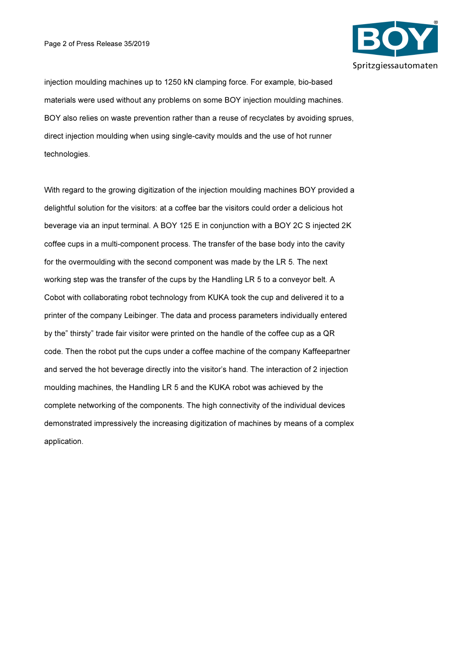

injection moulding machines up to 1250 kN clamping force. For example, bio-based materials were used without any problems on some BOY injection moulding machines. BOY also relies on waste prevention rather than a reuse of recyclates by avoiding sprues, direct injection moulding when using single-cavity moulds and the use of hot runner technologies.

With regard to the growing digitization of the injection moulding machines BOY provided a delightful solution for the visitors: at a coffee bar the visitors could order a delicious hot beverage via an input terminal. A BOY 125 E in conjunction with a BOY 2C S injected 2K coffee cups in a multi-component process. The transfer of the base body into the cavity for the overmoulding with the second component was made by the LR 5. The next working step was the transfer of the cups by the Handling LR 5 to a conveyor belt. A Cobot with collaborating robot technology from KUKA took the cup and delivered it to a printer of the company Leibinger. The data and process parameters individually entered by the" thirsty" trade fair visitor were printed on the handle of the coffee cup as a QR code. Then the robot put the cups under a coffee machine of the company Kaffeepartner and served the hot beverage directly into the visitor's hand. The interaction of 2 injection moulding machines, the Handling LR 5 and the KUKA robot was achieved by the complete networking of the components. The high connectivity of the individual devices demonstrated impressively the increasing digitization of machines by means of a complex application.